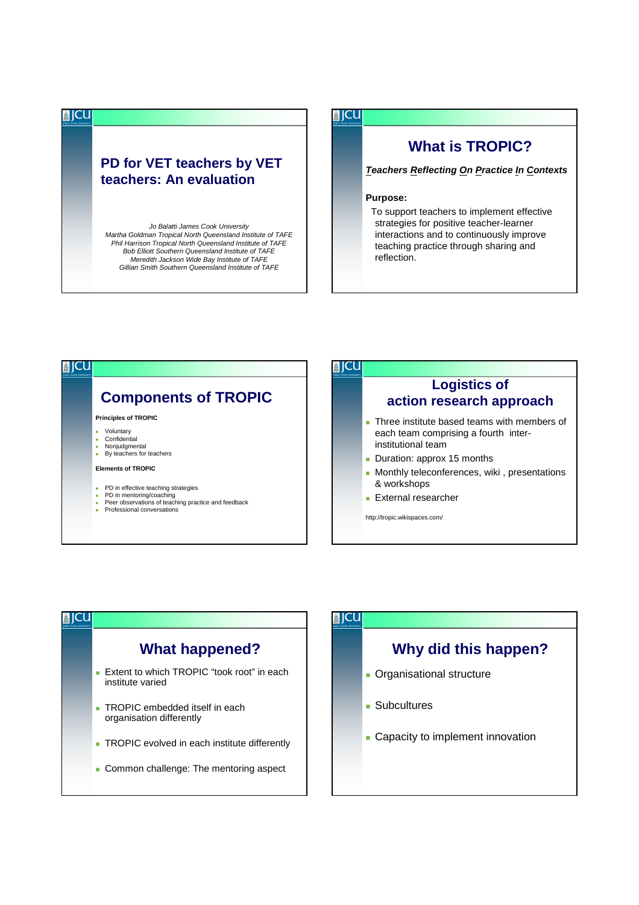## **PD for VET teachers by VET teachers: An evaluation**

**■ICU** 

Jo Balatti James Cook University Martha Goldman Tropical North Queensland Institute of TAFE Phil Harrison Tropical North Queensland Institute of TAFE Bob Elliott Southern Queensland Institute of TAFE Meredith Jackson Wide Bay Institute of TAFE Gillian Smith Southern Queensland Institute of TAFE

## **DICU**

## **What is TROPIC?**

**Teachers Reflecting On Practice In Contexts**

## **Purpose:**

To support teachers to implement effective strategies for positive teacher-learner interactions and to continuously improve teaching practice through sharing and reflection.